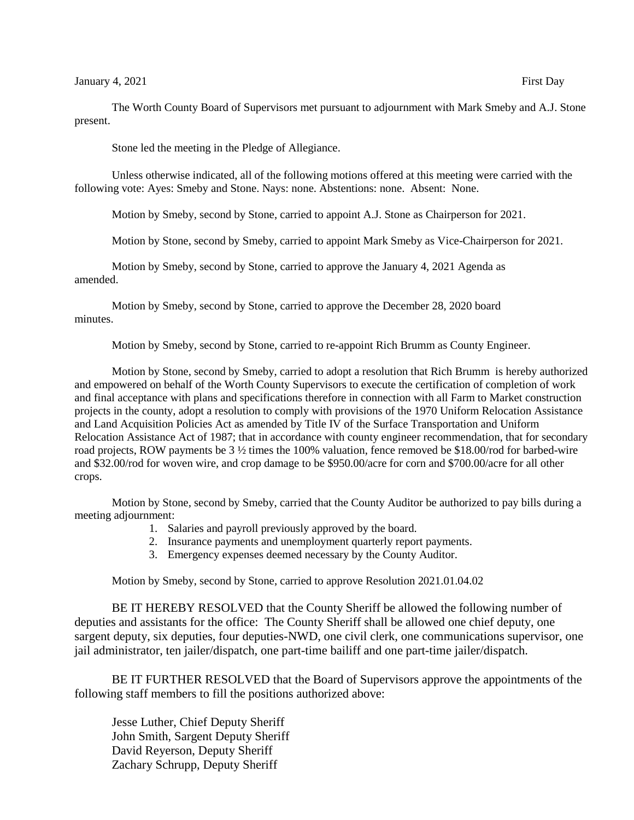The Worth County Board of Supervisors met pursuant to adjournment with Mark Smeby and A.J. Stone present.

Stone led the meeting in the Pledge of Allegiance.

Unless otherwise indicated, all of the following motions offered at this meeting were carried with the following vote: Ayes: Smeby and Stone. Nays: none. Abstentions: none. Absent: None.

Motion by Smeby, second by Stone, carried to appoint A.J. Stone as Chairperson for 2021.

Motion by Stone, second by Smeby, carried to appoint Mark Smeby as Vice-Chairperson for 2021.

Motion by Smeby, second by Stone, carried to approve the January 4, 2021 Agenda as amended.

Motion by Smeby, second by Stone, carried to approve the December 28, 2020 board minutes.

Motion by Smeby, second by Stone, carried to re-appoint Rich Brumm as County Engineer.

Motion by Stone, second by Smeby, carried to adopt a resolution that Rich Brumm is hereby authorized and empowered on behalf of the Worth County Supervisors to execute the certification of completion of work and final acceptance with plans and specifications therefore in connection with all Farm to Market construction projects in the county, adopt a resolution to comply with provisions of the 1970 Uniform Relocation Assistance and Land Acquisition Policies Act as amended by Title IV of the Surface Transportation and Uniform Relocation Assistance Act of 1987; that in accordance with county engineer recommendation, that for secondary road projects, ROW payments be 3 ½ times the 100% valuation, fence removed be \$18.00/rod for barbed-wire and \$32.00/rod for woven wire, and crop damage to be \$950.00/acre for corn and \$700.00/acre for all other crops.

Motion by Stone, second by Smeby, carried that the County Auditor be authorized to pay bills during a meeting adjournment:

- 1. Salaries and payroll previously approved by the board.
- 2. Insurance payments and unemployment quarterly report payments.
- 3. Emergency expenses deemed necessary by the County Auditor.

Motion by Smeby, second by Stone, carried to approve Resolution 2021.01.04.02

BE IT HEREBY RESOLVED that the County Sheriff be allowed the following number of deputies and assistants for the office: The County Sheriff shall be allowed one chief deputy, one sargent deputy, six deputies, four deputies-NWD, one civil clerk, one communications supervisor, one jail administrator, ten jailer/dispatch, one part-time bailiff and one part-time jailer/dispatch.

BE IT FURTHER RESOLVED that the Board of Supervisors approve the appointments of the following staff members to fill the positions authorized above:

Jesse Luther, Chief Deputy Sheriff John Smith, Sargent Deputy Sheriff David Reyerson, Deputy Sheriff Zachary Schrupp, Deputy Sheriff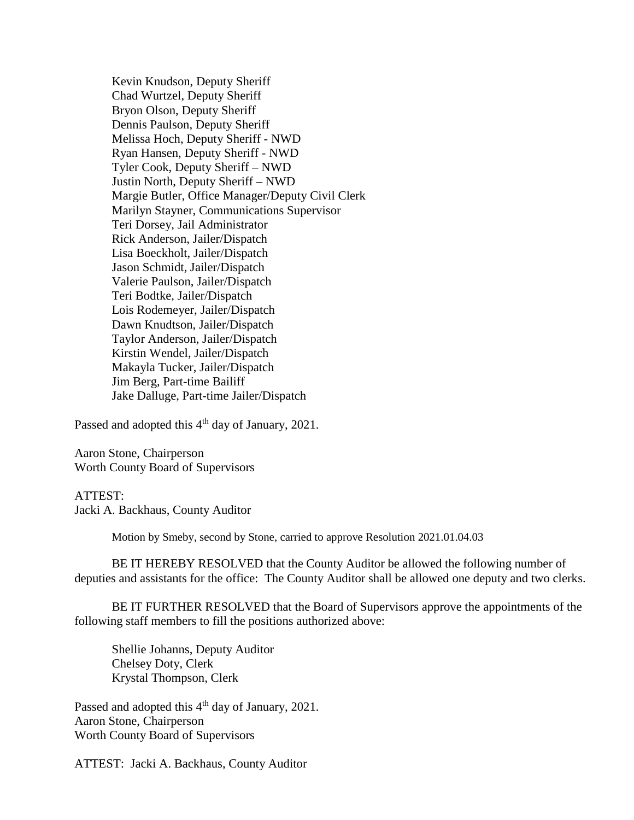Kevin Knudson, Deputy Sheriff Chad Wurtzel, Deputy Sheriff Bryon Olson, Deputy Sheriff Dennis Paulson, Deputy Sheriff Melissa Hoch, Deputy Sheriff - NWD Ryan Hansen, Deputy Sheriff - NWD Tyler Cook, Deputy Sheriff – NWD Justin North, Deputy Sheriff – NWD Margie Butler, Office Manager/Deputy Civil Clerk Marilyn Stayner, Communications Supervisor Teri Dorsey, Jail Administrator Rick Anderson, Jailer/Dispatch Lisa Boeckholt, Jailer/Dispatch Jason Schmidt, Jailer/Dispatch Valerie Paulson, Jailer/Dispatch Teri Bodtke, Jailer/Dispatch Lois Rodemeyer, Jailer/Dispatch Dawn Knudtson, Jailer/Dispatch Taylor Anderson, Jailer/Dispatch Kirstin Wendel, Jailer/Dispatch Makayla Tucker, Jailer/Dispatch Jim Berg, Part-time Bailiff Jake Dalluge, Part-time Jailer/Dispatch

Passed and adopted this 4<sup>th</sup> day of January, 2021.

Aaron Stone, Chairperson Worth County Board of Supervisors

## ATTEST:

Jacki A. Backhaus, County Auditor

Motion by Smeby, second by Stone, carried to approve Resolution 2021.01.04.03

BE IT HEREBY RESOLVED that the County Auditor be allowed the following number of deputies and assistants for the office: The County Auditor shall be allowed one deputy and two clerks.

BE IT FURTHER RESOLVED that the Board of Supervisors approve the appointments of the following staff members to fill the positions authorized above:

Shellie Johanns, Deputy Auditor Chelsey Doty, Clerk Krystal Thompson, Clerk

Passed and adopted this 4<sup>th</sup> day of January, 2021. Aaron Stone, Chairperson Worth County Board of Supervisors

ATTEST: Jacki A. Backhaus, County Auditor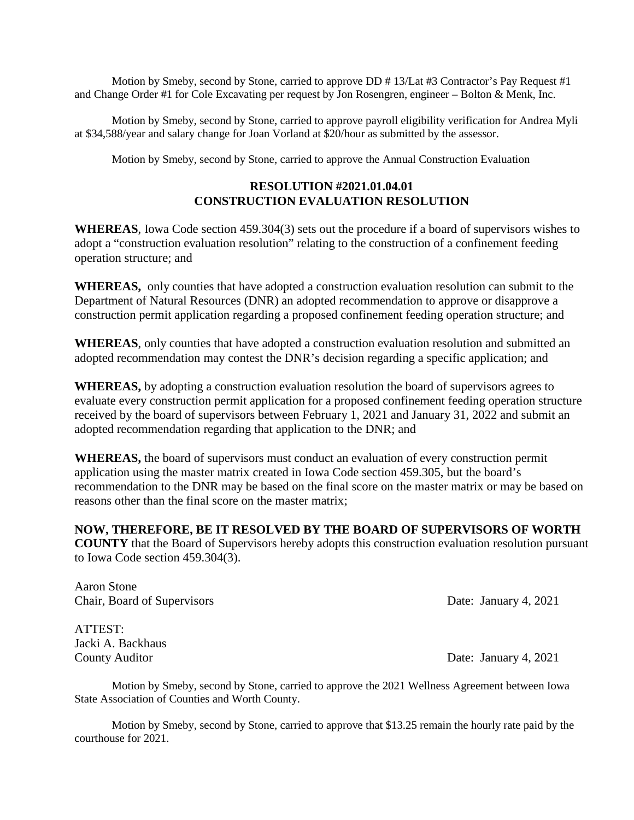Motion by Smeby, second by Stone, carried to approve DD # 13/Lat #3 Contractor's Pay Request #1 and Change Order #1 for Cole Excavating per request by Jon Rosengren, engineer – Bolton & Menk, Inc.

Motion by Smeby, second by Stone, carried to approve payroll eligibility verification for Andrea Myli at \$34,588/year and salary change for Joan Vorland at \$20/hour as submitted by the assessor.

Motion by Smeby, second by Stone, carried to approve the Annual Construction Evaluation

## **RESOLUTION #2021.01.04.01 CONSTRUCTION EVALUATION RESOLUTION**

**WHEREAS**, Iowa Code section 459.304(3) sets out the procedure if a board of supervisors wishes to adopt a "construction evaluation resolution" relating to the construction of a confinement feeding operation structure; and

**WHEREAS,** only counties that have adopted a construction evaluation resolution can submit to the Department of Natural Resources (DNR) an adopted recommendation to approve or disapprove a construction permit application regarding a proposed confinement feeding operation structure; and

**WHEREAS**, only counties that have adopted a construction evaluation resolution and submitted an adopted recommendation may contest the DNR's decision regarding a specific application; and

**WHEREAS,** by adopting a construction evaluation resolution the board of supervisors agrees to evaluate every construction permit application for a proposed confinement feeding operation structure received by the board of supervisors between February 1, 2021 and January 31, 2022 and submit an adopted recommendation regarding that application to the DNR; and

**WHEREAS,** the board of supervisors must conduct an evaluation of every construction permit application using the master matrix created in Iowa Code section 459.305, but the board's recommendation to the DNR may be based on the final score on the master matrix or may be based on reasons other than the final score on the master matrix;

**NOW, THEREFORE, BE IT RESOLVED BY THE BOARD OF SUPERVISORS OF WORTH COUNTY** that the Board of Supervisors hereby adopts this construction evaluation resolution pursuant to Iowa Code section 459.304(3).

Aaron Stone Chair, Board of Supervisors Date: January 4, 2021

ATTEST: Jacki A. Backhaus

County Auditor Date: January 4, 2021

Motion by Smeby, second by Stone, carried to approve the 2021 Wellness Agreement between Iowa State Association of Counties and Worth County.

Motion by Smeby, second by Stone, carried to approve that \$13.25 remain the hourly rate paid by the courthouse for 2021.